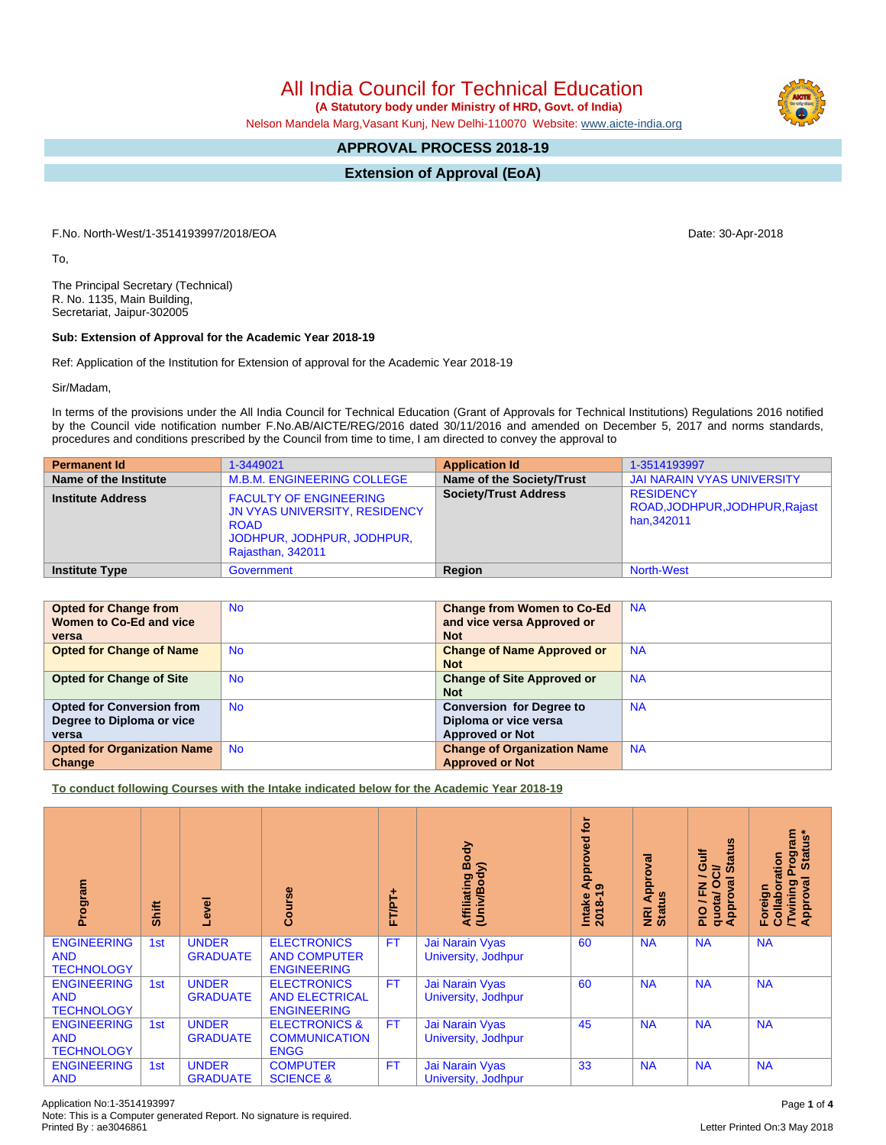All India Council for Technical Education  **(A Statutory body under Ministry of HRD, Govt. of India)**

Nelson Mandela Marg,Vasant Kunj, New Delhi-110070 Website: [www.aicte-india.org](http://www.aicte-india.org)

## **APPROVAL PROCESS 2018-19**

**Extension of Approval (EoA)**

F.No. North-West/1-3514193997/2018/EOA Date: 30-Apr-2018

To,

The Principal Secretary (Technical) R. No. 1135, Main Building, Secretariat, Jaipur-302005

## **Sub: Extension of Approval for the Academic Year 2018-19**

Ref: Application of the Institution for Extension of approval for the Academic Year 2018-19

Sir/Madam,

In terms of the provisions under the All India Council for Technical Education (Grant of Approvals for Technical Institutions) Regulations 2016 notified by the Council vide notification number F.No.AB/AICTE/REG/2016 dated 30/11/2016 and amended on December 5, 2017 and norms standards, procedures and conditions prescribed by the Council from time to time, I am directed to convey the approval to

| <b>Permanent Id</b>      | 1-3449021                                                                                                                        | <b>Application Id</b>        | 1-3514193997                                                     |
|--------------------------|----------------------------------------------------------------------------------------------------------------------------------|------------------------------|------------------------------------------------------------------|
| Name of the Institute    | <b>M.B.M. ENGINEERING COLLEGE</b>                                                                                                | Name of the Society/Trust    | JAI NARAIN VYAS UNIVERSITY                                       |
| <b>Institute Address</b> | <b>FACULTY OF ENGINEERING</b><br>JN VYAS UNIVERSITY, RESIDENCY<br><b>ROAD</b><br>JODHPUR, JODHPUR, JODHPUR,<br>Rajasthan, 342011 | <b>Society/Trust Address</b> | <b>RESIDENCY</b><br>ROAD, JODHPUR, JODHPUR, Rajast<br>han.342011 |
| <b>Institute Type</b>    | Government                                                                                                                       | Region                       | <b>North-West</b>                                                |

| <b>Opted for Change from</b>       | <b>No</b> | <b>Change from Women to Co-Ed</b>  | <b>NA</b> |
|------------------------------------|-----------|------------------------------------|-----------|
| Women to Co-Ed and vice            |           | and vice versa Approved or         |           |
| versa                              |           | <b>Not</b>                         |           |
| <b>Opted for Change of Name</b>    | <b>No</b> | <b>Change of Name Approved or</b>  | <b>NA</b> |
|                                    |           | <b>Not</b>                         |           |
| <b>Opted for Change of Site</b>    | <b>No</b> | <b>Change of Site Approved or</b>  | <b>NA</b> |
|                                    |           | <b>Not</b>                         |           |
| <b>Opted for Conversion from</b>   | <b>No</b> | <b>Conversion for Degree to</b>    | <b>NA</b> |
| Degree to Diploma or vice          |           | Diploma or vice versa              |           |
| versa                              |           | <b>Approved or Not</b>             |           |
| <b>Opted for Organization Name</b> | <b>No</b> | <b>Change of Organization Name</b> | <b>NA</b> |
| Change                             |           | <b>Approved or Not</b>             |           |

**To conduct following Courses with the Intake indicated below for the Academic Year 2018-19**

| Program                                               | Shift | Level                           | Course                                                            | FT/PT+    | Body<br>Affiliating Book<br>(Univ/Body) | ē<br>Approved<br>െ<br>$2018 - 1$<br>Intake | <b>NRI Approval</b><br>Status | 5<br>Guif<br><b>State</b><br>ಕ<br>∽<br>O<br>g<br>준<br>quotal<br>Approv<br>∽<br>$\frac{1}{2}$ | Program<br>  Status*<br>Collaboration<br>Twining I<br>Approval<br>Foreign |
|-------------------------------------------------------|-------|---------------------------------|-------------------------------------------------------------------|-----------|-----------------------------------------|--------------------------------------------|-------------------------------|----------------------------------------------------------------------------------------------|---------------------------------------------------------------------------|
| <b>ENGINEERING</b><br><b>AND</b><br><b>TECHNOLOGY</b> | 1st   | <b>UNDER</b><br><b>GRADUATE</b> | <b>ELECTRONICS</b><br><b>AND COMPUTER</b><br><b>ENGINEERING</b>   | <b>FT</b> | Jai Narain Vyas<br>University, Jodhpur  | 60                                         | <b>NA</b>                     | <b>NA</b>                                                                                    | <b>NA</b>                                                                 |
| <b>ENGINEERING</b><br><b>AND</b><br><b>TECHNOLOGY</b> | 1st   | <b>UNDER</b><br><b>GRADUATE</b> | <b>ELECTRONICS</b><br><b>AND ELECTRICAL</b><br><b>ENGINEERING</b> | <b>FT</b> | Jai Narain Vyas<br>University, Jodhpur  | 60                                         | <b>NA</b>                     | <b>NA</b>                                                                                    | <b>NA</b>                                                                 |
| <b>ENGINEERING</b><br><b>AND</b><br><b>TECHNOLOGY</b> | 1st   | <b>UNDER</b><br><b>GRADUATE</b> | <b>ELECTRONICS &amp;</b><br><b>COMMUNICATION</b><br><b>ENGG</b>   | FT.       | Jai Narain Vyas<br>University, Jodhpur  | 45                                         | <b>NA</b>                     | <b>NA</b>                                                                                    | <b>NA</b>                                                                 |
| <b>ENGINEERING</b><br><b>AND</b>                      | 1st   | <b>UNDER</b><br><b>GRADUATE</b> | <b>COMPUTER</b><br><b>SCIENCE &amp;</b>                           | <b>FT</b> | Jai Narain Vyas<br>University, Jodhpur  | 33                                         | <b>NA</b>                     | <b>NA</b>                                                                                    | <b>NA</b>                                                                 |

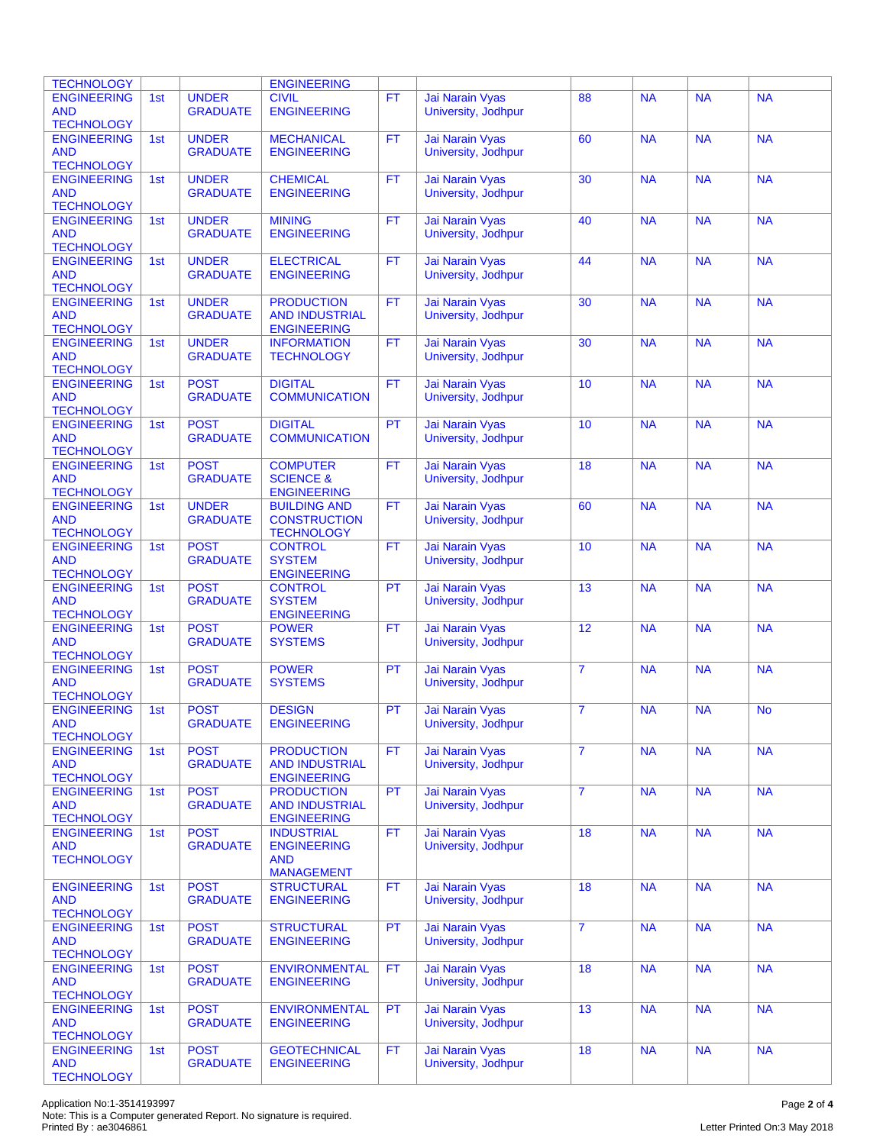| <b>TECHNOLOGY</b>                                     |     |                                 | <b>ENGINEERING</b>                                               |           |                                        |                 |           |           |           |
|-------------------------------------------------------|-----|---------------------------------|------------------------------------------------------------------|-----------|----------------------------------------|-----------------|-----------|-----------|-----------|
| <b>ENGINEERING</b><br><b>AND</b><br><b>TECHNOLOGY</b> | 1st | <b>UNDER</b><br><b>GRADUATE</b> | <b>CIVIL</b><br><b>ENGINEERING</b>                               | <b>FT</b> | Jai Narain Vyas<br>University, Jodhpur | 88              | <b>NA</b> | <b>NA</b> | <b>NA</b> |
| <b>ENGINEERING</b><br><b>AND</b><br><b>TECHNOLOGY</b> | 1st | <b>UNDER</b><br><b>GRADUATE</b> | <b>MECHANICAL</b><br><b>ENGINEERING</b>                          | <b>FT</b> | Jai Narain Vyas<br>University, Jodhpur | 60              | <b>NA</b> | <b>NA</b> | <b>NA</b> |
| <b>ENGINEERING</b><br><b>AND</b><br><b>TECHNOLOGY</b> | 1st | <b>UNDER</b><br><b>GRADUATE</b> | <b>CHEMICAL</b><br><b>ENGINEERING</b>                            | <b>FT</b> | Jai Narain Vyas<br>University, Jodhpur | 30              | <b>NA</b> | <b>NA</b> | <b>NA</b> |
| <b>ENGINEERING</b><br><b>AND</b><br><b>TECHNOLOGY</b> | 1st | <b>UNDER</b><br><b>GRADUATE</b> | <b>MINING</b><br><b>ENGINEERING</b>                              | <b>FT</b> | Jai Narain Vyas<br>University, Jodhpur | 40              | <b>NA</b> | <b>NA</b> | <b>NA</b> |
| <b>ENGINEERING</b><br><b>AND</b><br><b>TECHNOLOGY</b> | 1st | <b>UNDER</b><br><b>GRADUATE</b> | <b>ELECTRICAL</b><br><b>ENGINEERING</b>                          | <b>FT</b> | Jai Narain Vyas<br>University, Jodhpur | 44              | <b>NA</b> | <b>NA</b> | <b>NA</b> |
| <b>ENGINEERING</b><br><b>AND</b><br><b>TECHNOLOGY</b> | 1st | <b>UNDER</b><br><b>GRADUATE</b> | <b>PRODUCTION</b><br><b>AND INDUSTRIAL</b><br><b>ENGINEERING</b> | <b>FT</b> | Jai Narain Vyas<br>University, Jodhpur | 30              | <b>NA</b> | <b>NA</b> | <b>NA</b> |
| <b>ENGINEERING</b><br><b>AND</b><br><b>TECHNOLOGY</b> | 1st | <b>UNDER</b><br><b>GRADUATE</b> | <b>INFORMATION</b><br><b>TECHNOLOGY</b>                          | <b>FT</b> | Jai Narain Vyas<br>University, Jodhpur | 30              | <b>NA</b> | <b>NA</b> | <b>NA</b> |
| <b>ENGINEERING</b><br><b>AND</b><br><b>TECHNOLOGY</b> | 1st | <b>POST</b><br><b>GRADUATE</b>  | <b>DIGITAL</b><br><b>COMMUNICATION</b>                           | <b>FT</b> | Jai Narain Vyas<br>University, Jodhpur | 10              | <b>NA</b> | NA        | <b>NA</b> |
| <b>ENGINEERING</b><br><b>AND</b><br><b>TECHNOLOGY</b> | 1st | <b>POST</b><br><b>GRADUATE</b>  | <b>DIGITAL</b><br><b>COMMUNICATION</b>                           | PT        | Jai Narain Vyas<br>University, Jodhpur | 10              | <b>NA</b> | <b>NA</b> | <b>NA</b> |
| <b>ENGINEERING</b><br><b>AND</b><br><b>TECHNOLOGY</b> | 1st | <b>POST</b><br><b>GRADUATE</b>  | <b>COMPUTER</b><br><b>SCIENCE &amp;</b><br><b>ENGINEERING</b>    | <b>FT</b> | Jai Narain Vyas<br>University, Jodhpur | 18              | <b>NA</b> | <b>NA</b> | <b>NA</b> |
| <b>ENGINEERING</b><br><b>AND</b><br><b>TECHNOLOGY</b> | 1st | <b>UNDER</b><br><b>GRADUATE</b> | <b>BUILDING AND</b><br><b>CONSTRUCTION</b><br><b>TECHNOLOGY</b>  | <b>FT</b> | Jai Narain Vyas<br>University, Jodhpur | 60              | <b>NA</b> | <b>NA</b> | <b>NA</b> |
| <b>ENGINEERING</b><br><b>AND</b><br><b>TECHNOLOGY</b> | 1st | <b>POST</b><br><b>GRADUATE</b>  | <b>CONTROL</b><br><b>SYSTEM</b><br><b>ENGINEERING</b>            | <b>FT</b> | Jai Narain Vyas<br>University, Jodhpur | 10              | <b>NA</b> | <b>NA</b> | <b>NA</b> |
| <b>ENGINEERING</b><br><b>AND</b><br><b>TECHNOLOGY</b> | 1st | <b>POST</b><br><b>GRADUATE</b>  | <b>CONTROL</b><br><b>SYSTEM</b><br><b>ENGINEERING</b>            | <b>PT</b> | Jai Narain Vyas<br>University, Jodhpur | 13              | <b>NA</b> | <b>NA</b> | <b>NA</b> |
| <b>ENGINEERING</b><br><b>AND</b><br><b>TECHNOLOGY</b> | 1st | <b>POST</b><br><b>GRADUATE</b>  | <b>POWER</b><br><b>SYSTEMS</b>                                   | <b>FT</b> | Jai Narain Vyas<br>University, Jodhpur | $\overline{12}$ | <b>NA</b> | NA        | <b>NA</b> |
| <b>ENGINEERING</b><br><b>AND</b><br><b>TECHNOLOGY</b> | 1st | <b>POST</b><br><b>GRADUATE</b>  | <b>POWER</b><br><b>SYSTEMS</b>                                   | PT        | Jai Narain Vyas<br>University, Jodhpur | $\overline{7}$  | <b>NA</b> | <b>NA</b> | <b>NA</b> |
| <b>ENGINEERING</b><br>AND<br><b>TECHNOLOGY</b>        | 1st | <b>POST</b><br><b>GRADUATE</b>  | <b>DESIGN</b><br><b>ENGINEERING</b>                              | PT        | Jai Narain Vyas<br>University, Joanpur | $\overline{7}$  | <b>NA</b> | <b>NA</b> | <b>No</b> |
| <b>ENGINEERING</b><br><b>AND</b><br><b>TECHNOLOGY</b> | 1st | <b>POST</b><br><b>GRADUATE</b>  | <b>PRODUCTION</b><br><b>AND INDUSTRIAL</b><br><b>ENGINEERING</b> | <b>FT</b> | Jai Narain Vyas<br>University, Jodhpur | $\overline{7}$  | <b>NA</b> | <b>NA</b> | <b>NA</b> |
| <b>ENGINEERING</b><br><b>AND</b><br><b>TECHNOLOGY</b> | 1st | <b>POST</b><br><b>GRADUATE</b>  | <b>PRODUCTION</b><br><b>AND INDUSTRIAL</b><br><b>ENGINEERING</b> | <b>PT</b> | Jai Narain Vyas<br>University, Jodhpur | $\overline{7}$  | <b>NA</b> | <b>NA</b> | <b>NA</b> |
| <b>ENGINEERING</b><br><b>AND</b><br><b>TECHNOLOGY</b> | 1st | <b>POST</b><br><b>GRADUATE</b>  | <b>INDUSTRIAL</b><br><b>ENGINEERING</b><br><b>AND</b>            | <b>FT</b> | Jai Narain Vyas<br>University, Jodhpur | 18              | <b>NA</b> | <b>NA</b> | <b>NA</b> |
| <b>ENGINEERING</b><br><b>AND</b><br><b>TECHNOLOGY</b> | 1st | <b>POST</b><br><b>GRADUATE</b>  | <b>MANAGEMENT</b><br><b>STRUCTURAL</b><br><b>ENGINEERING</b>     | <b>FT</b> | Jai Narain Vyas<br>University, Jodhpur | 18              | <b>NA</b> | <b>NA</b> | <b>NA</b> |
| <b>ENGINEERING</b><br><b>AND</b><br><b>TECHNOLOGY</b> | 1st | <b>POST</b><br><b>GRADUATE</b>  | <b>STRUCTURAL</b><br><b>ENGINEERING</b>                          | PT        | Jai Narain Vyas<br>University, Jodhpur | $\overline{7}$  | <b>NA</b> | <b>NA</b> | <b>NA</b> |
| <b>ENGINEERING</b><br><b>AND</b><br><b>TECHNOLOGY</b> | 1st | <b>POST</b><br><b>GRADUATE</b>  | <b>ENVIRONMENTAL</b><br><b>ENGINEERING</b>                       | FT.       | Jai Narain Vyas<br>University, Jodhpur | 18              | <b>NA</b> | <b>NA</b> | <b>NA</b> |
| <b>ENGINEERING</b><br><b>AND</b><br><b>TECHNOLOGY</b> | 1st | <b>POST</b><br><b>GRADUATE</b>  | <b>ENVIRONMENTAL</b><br><b>ENGINEERING</b>                       | PT        | Jai Narain Vyas<br>University, Jodhpur | 13              | <b>NA</b> | <b>NA</b> | <b>NA</b> |
| <b>ENGINEERING</b><br><b>AND</b><br><b>TECHNOLOGY</b> | 1st | <b>POST</b><br><b>GRADUATE</b>  | <b>GEOTECHNICAL</b><br><b>ENGINEERING</b>                        | <b>FT</b> | Jai Narain Vyas<br>University, Jodhpur | 18              | <b>NA</b> | <b>NA</b> | <b>NA</b> |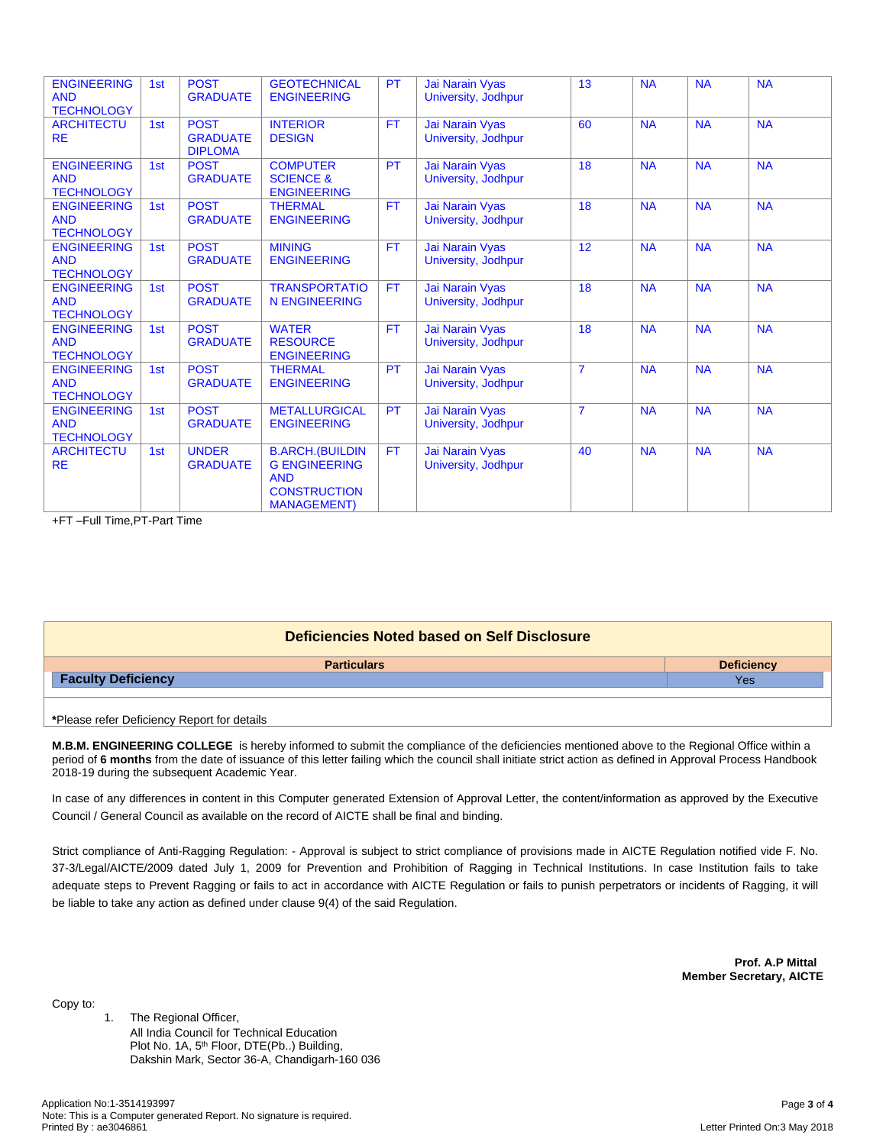| <b>ENGINEERING</b><br><b>AND</b><br><b>TECHNOLOGY</b> | 1st | <b>POST</b><br><b>GRADUATE</b>                   | <b>GEOTECHNICAL</b><br><b>ENGINEERING</b>                                                                  | PT        | Jai Narain Vyas<br>University, Jodhpur | 13             | <b>NA</b> | <b>NA</b> | <b>NA</b> |
|-------------------------------------------------------|-----|--------------------------------------------------|------------------------------------------------------------------------------------------------------------|-----------|----------------------------------------|----------------|-----------|-----------|-----------|
| <b>ARCHITECTU</b><br><b>RE</b>                        | 1st | <b>POST</b><br><b>GRADUATE</b><br><b>DIPLOMA</b> | <b>INTERIOR</b><br><b>DESIGN</b>                                                                           | <b>FT</b> | Jai Narain Vyas<br>University, Jodhpur | 60             | <b>NA</b> | <b>NA</b> | <b>NA</b> |
| <b>ENGINEERING</b><br><b>AND</b><br><b>TECHNOLOGY</b> | 1st | <b>POST</b><br><b>GRADUATE</b>                   | <b>COMPUTER</b><br><b>SCIENCE &amp;</b><br><b>ENGINEERING</b>                                              | PT        | Jai Narain Vyas<br>University, Jodhpur | 18             | <b>NA</b> | <b>NA</b> | <b>NA</b> |
| <b>ENGINEERING</b><br><b>AND</b><br><b>TECHNOLOGY</b> | 1st | <b>POST</b><br><b>GRADUATE</b>                   | <b>THERMAL</b><br><b>ENGINEERING</b>                                                                       | <b>FT</b> | Jai Narain Vyas<br>University, Jodhpur | 18             | <b>NA</b> | <b>NA</b> | <b>NA</b> |
| <b>ENGINEERING</b><br><b>AND</b><br><b>TECHNOLOGY</b> | 1st | <b>POST</b><br><b>GRADUATE</b>                   | <b>MINING</b><br><b>ENGINEERING</b>                                                                        | <b>FT</b> | Jai Narain Vyas<br>University, Jodhpur | 12             | <b>NA</b> | <b>NA</b> | <b>NA</b> |
| <b>ENGINEERING</b><br><b>AND</b><br><b>TECHNOLOGY</b> | 1st | <b>POST</b><br><b>GRADUATE</b>                   | <b>TRANSPORTATIO</b><br><b>N ENGINEERING</b>                                                               | <b>FT</b> | Jai Narain Vyas<br>University, Jodhpur | 18             | <b>NA</b> | <b>NA</b> | <b>NA</b> |
| <b>ENGINEERING</b><br><b>AND</b><br><b>TECHNOLOGY</b> | 1st | <b>POST</b><br><b>GRADUATE</b>                   | <b>WATER</b><br><b>RESOURCE</b><br><b>ENGINEERING</b>                                                      | <b>FT</b> | Jai Narain Vyas<br>University, Jodhpur | 18             | <b>NA</b> | <b>NA</b> | <b>NA</b> |
| <b>ENGINEERING</b><br><b>AND</b><br><b>TECHNOLOGY</b> | 1st | <b>POST</b><br><b>GRADUATE</b>                   | <b>THERMAL</b><br><b>ENGINEERING</b>                                                                       | <b>PT</b> | Jai Narain Vyas<br>University, Jodhpur | $\overline{7}$ | <b>NA</b> | <b>NA</b> | <b>NA</b> |
| <b>ENGINEERING</b><br><b>AND</b><br><b>TECHNOLOGY</b> | 1st | <b>POST</b><br><b>GRADUATE</b>                   | <b>METALLURGICAL</b><br><b>ENGINEERING</b>                                                                 | PT        | Jai Narain Vyas<br>University, Jodhpur | $\overline{7}$ | <b>NA</b> | <b>NA</b> | <b>NA</b> |
| <b>ARCHITECTU</b><br><b>RE</b>                        | 1st | <b>UNDER</b><br><b>GRADUATE</b>                  | <b>B.ARCH.(BUILDIN</b><br><b>G ENGINEERING</b><br><b>AND</b><br><b>CONSTRUCTION</b><br><b>MANAGEMENT</b> ) | <b>FT</b> | Jai Narain Vyas<br>University, Jodhpur | 40             | <b>NA</b> | <b>NA</b> | <b>NA</b> |

+FT –Full Time,PT-Part Time

| Deficiencies Noted based on Self Disclosure |                   |  |  |  |  |
|---------------------------------------------|-------------------|--|--|--|--|
| <b>Particulars</b>                          | <b>Deficiency</b> |  |  |  |  |
| <b>Faculty Deficiency</b>                   | Yes               |  |  |  |  |
|                                             |                   |  |  |  |  |
|                                             |                   |  |  |  |  |

**\***Please refer Deficiency Report for details

**M.B.M. ENGINEERING COLLEGE** is hereby informed to submit the compliance of the deficiencies mentioned above to the Regional Office within a period of 6 months from the date of issuance of this letter failing which the council shall initiate strict action as defined in Approval Process Handbook 2018-19 during the subsequent Academic Year.

In case of any differences in content in this Computer generated Extension of Approval Letter, the content/information as approved by the Executive Council / General Council as available on the record of AICTE shall be final and binding.

Strict compliance of Anti-Ragging Regulation: - Approval is subject to strict compliance of provisions made in AICTE Regulation notified vide F. No. 37-3/Legal/AICTE/2009 dated July 1, 2009 for Prevention and Prohibition of Ragging in Technical Institutions. In case Institution fails to take adequate steps to Prevent Ragging or fails to act in accordance with AICTE Regulation or fails to punish perpetrators or incidents of Ragging, it will be liable to take any action as defined under clause 9(4) of the said Regulation.

> **Prof. A.P Mittal Member Secretary, AICTE**

Copy to:

1. The Regional Officer, All India Council for Technical Education Plot No. 1A, 5<sup>th</sup> Floor, DTE(Pb..) Building, Dakshin Mark, Sector 36-A, Chandigarh-160 036